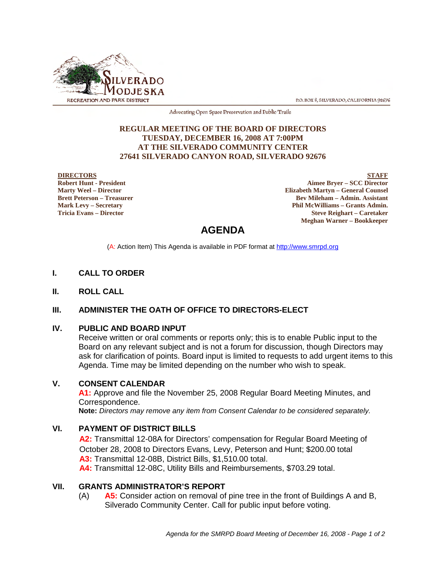

P.O. BOX 8, SILVERADO, CALIFORNIA 92676

Advocating Open Space Preservation and Public Trails

### **REGULAR MEETING OF THE BOARD OF DIRECTORS TUESDAY, DECEMBER 16, 2008 AT 7:00PM AT THE SILVERADO COMMUNITY CENTER 27641 SILVERADO CANYON ROAD, SILVERADO 92676**

#### **DIRECTORS**

**Robert Hunt - President Marty Weel – Director Brett Peterson – Treasurer Mark Levy – Secretary Tricia Evans – Director**

**STAFF Aimee Bryer – SCC Director Elizabeth Martyn – General Counsel Bev Mileham – Admin. Assistant Phil McWilliams – Grants Admin. Steve Reighart – Caretaker Meghan Warner – Bookkeeper**

# **AGENDA**

(A: Action Item) This Agenda is available in PDF format at http://www.smrpd.org

### **I. CALL TO ORDER**

**II. ROLL CALL**

# **III. ADMINISTER THE OATH OF OFFICE TO DIRECTORS-ELECT**

### **IV. PUBLIC AND BOARD INPUT**

Receive written or oral comments or reports only; this is to enable Public input to the Board on any relevant subject and is not a forum for discussion, though Directors may ask for clarification of points. Board input is limited to requests to add urgent items to this Agenda. Time may be limited depending on the number who wish to speak.

### **V. CONSENT CALENDAR**

**A1:** Approve and file the November 25, 2008 Regular Board Meeting Minutes, and Correspondence.

**Note:** *Directors may remove any item from Consent Calendar to be considered separately.*

### **VI. PAYMENT OF DISTRICT BILLS**

**A2:** Transmittal 12-08A for Directors' compensation for Regular Board Meeting of October 28, 2008 to Directors Evans, Levy, Peterson and Hunt; \$200.00 total **A3:** Transmittal 12-08B, District Bills, \$1,510.00 total. **A4:** Transmittal 12-08C, Utility Bills and Reimbursements, \$703.29 total.

### **VII. GRANTS ADMINISTRATOR'S REPORT**

(A) **A5:** Consider action on removal of pine tree in the front of Buildings A and B, Silverado Community Center. Call for public input before voting.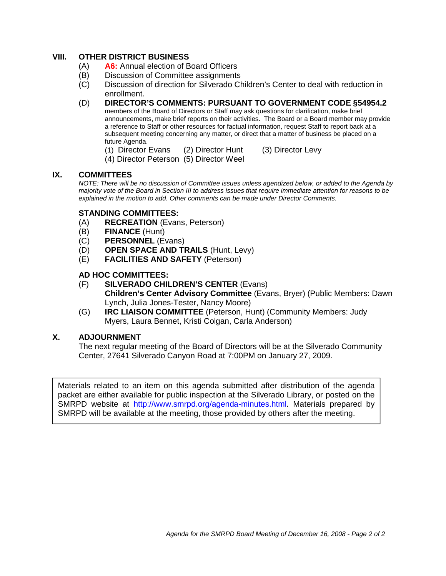# **VIII. OTHER DISTRICT BUSINESS**

- (A) **A6:** Annual election of Board Officers
- (B) Discussion of Committee assignments
- (C) Discussion of direction for Silverado Children's Center to deal with reduction in enrollment.
- (D) **DIRECTOR'S COMMENTS: PURSUANT TO GOVERNMENT CODE §54954.2** members of the Board of Directors or Staff may ask questions for clarification, make brief announcements, make brief reports on their activities. The Board or a Board member may provide a reference to Staff or other resources for factual information, request Staff to report back at a subsequent meeting concerning any matter, or direct that a matter of business be placed on a future Agenda.
	- (1) Director Evans (2) Director Hunt (3) Director Levy
	- (4) Director Peterson (5) Director Weel

### **IX. COMMITTEES**

*NOTE: There will be no discussion of Committee issues unless agendized below, or added to the Agenda by majority vote of the Board in Section III to address issues that require immediate attention for reasons to be explained in the motion to add. Other comments can be made under Director Comments.*

# **STANDING COMMITTEES:**

- (A) **RECREATION** (Evans, Peterson)
- (B) **FINANCE** (Hunt)
- (C) **PERSONNEL** (Evans)
- (D) **OPEN SPACE AND TRAILS** (Hunt, Levy)
- (E) **FACILITIES AND SAFETY** (Peterson)

# **AD HOC COMMITTEES:**

- (F) **SILVERADO CHILDREN'S CENTER** (Evans) **Children's Center Advisory Committee** (Evans, Bryer) (Public Members: Dawn Lynch, Julia Jones-Tester, Nancy Moore)
- (G) **IRC LIAISON COMMITTEE** (Peterson, Hunt) (Community Members: Judy Myers, Laura Bennet, Kristi Colgan, Carla Anderson)

# **X. ADJOURNMENT**

The next regular meeting of the Board of Directors will be at the Silverado Community Center, 27641 Silverado Canyon Road at 7:00PM on January 27, 2009.

Materials related to an item on this agenda submitted after distribution of the agenda packet are either available for public inspection at the Silverado Library, or posted on the SMRPD website at http://www.smrpd.org/agenda-minutes.html. Materials prepared by SMRPD will be available at the meeting, those provided by others after the meeting.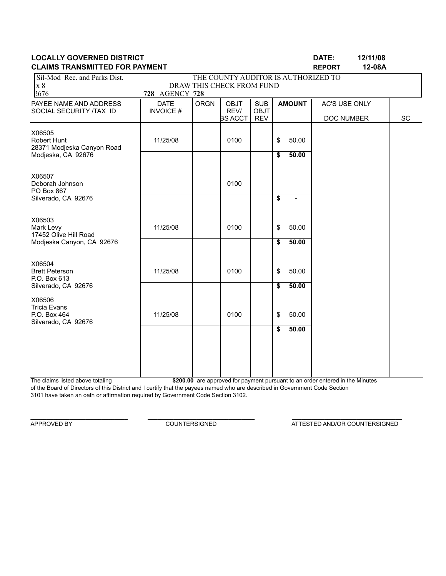| Sil-Mod Rec. and Parks Dist.                      |                                |             | THE COUNTY AUDITOR IS AUTHORIZED TO |                           |                 |       |               |  |
|---------------------------------------------------|--------------------------------|-------------|-------------------------------------|---------------------------|-----------------|-------|---------------|--|
| x8                                                |                                |             | DRAW THIS CHECK FROM FUND           |                           |                 |       |               |  |
| 2676                                              | 728 AGENCY 728                 |             |                                     |                           |                 |       |               |  |
| PAYEE NAME AND ADDRESS<br>SOCIAL SECURITY /TAX ID | <b>DATE</b><br><b>INVOICE#</b> | <b>ORGN</b> | <b>OBJT</b><br>REV/                 | <b>SUB</b><br><b>OBJT</b> | <b>AMOUNT</b>   |       | AC'S USE ONLY |  |
|                                                   |                                |             | <b>BS ACCT</b>                      | <b>REV</b>                |                 |       | DOC NUMBER    |  |
| X06505                                            |                                |             |                                     |                           |                 |       |               |  |
| <b>Robert Hunt</b>                                | 11/25/08                       |             | 0100                                |                           | \$              | 50.00 |               |  |
| 28371 Modjeska Canyon Road                        |                                |             |                                     |                           |                 |       |               |  |
| Modjeska, CA 92676                                |                                |             |                                     |                           | \$              | 50.00 |               |  |
|                                                   |                                |             |                                     |                           |                 |       |               |  |
| X06507<br>Deborah Johnson                         |                                |             | 0100                                |                           |                 |       |               |  |
| PO Box 867                                        |                                |             |                                     |                           |                 |       |               |  |
| Silverado, CA 92676                               |                                |             |                                     |                           | $\overline{\$}$ |       |               |  |
| X06503                                            |                                |             |                                     |                           |                 |       |               |  |
| Mark Levy                                         | 11/25/08                       |             | 0100                                |                           | \$              | 50.00 |               |  |
| 17452 Olive Hill Road                             |                                |             |                                     |                           |                 |       |               |  |
| Modjeska Canyon, CA 92676                         |                                |             |                                     |                           | \$              | 50.00 |               |  |
| X06504                                            |                                |             |                                     |                           |                 |       |               |  |
| <b>Brett Peterson</b>                             | 11/25/08                       |             | 0100                                |                           | \$              | 50.00 |               |  |
| P.O. Box 613                                      |                                |             |                                     |                           |                 |       |               |  |
| Silverado, CA 92676                               |                                |             |                                     |                           | $\overline{\$}$ | 50.00 |               |  |
| X06506                                            |                                |             |                                     |                           |                 |       |               |  |
| <b>Tricia Evans</b><br>P.O. Box 464               | 11/25/08                       |             | 0100                                |                           | \$              | 50.00 |               |  |
| Silverado, CA 92676                               |                                |             |                                     |                           |                 |       |               |  |
|                                                   |                                |             |                                     |                           | \$              | 50.00 |               |  |
|                                                   |                                |             |                                     |                           |                 |       |               |  |
|                                                   |                                |             |                                     |                           |                 |       |               |  |
|                                                   |                                |             |                                     |                           |                 |       |               |  |
|                                                   |                                |             |                                     |                           |                 |       |               |  |

The claims listed above totaling **\$200.00** are approved for payment pursuant to an order entered in the Minutes of the Board of Directors of this District and I certify that the payees named who are described in Government Code Section 3101 have taken an oath or affirmation required by Government Code Section 3102.

\_\_\_\_\_\_\_\_\_\_\_\_\_\_\_\_\_\_\_\_\_\_\_\_\_\_\_\_\_\_ \_\_\_\_\_\_\_\_\_\_\_\_\_\_\_\_\_\_\_\_\_\_\_\_\_\_\_\_\_\_\_\_\_ \_\_\_\_\_\_\_\_\_\_\_\_\_\_\_\_\_\_\_\_\_\_\_\_\_\_\_\_\_\_\_\_\_\_

APPROVED BY COUNTERSIGNED COUNTERSIGNED AND/OR COUNTERSIGNED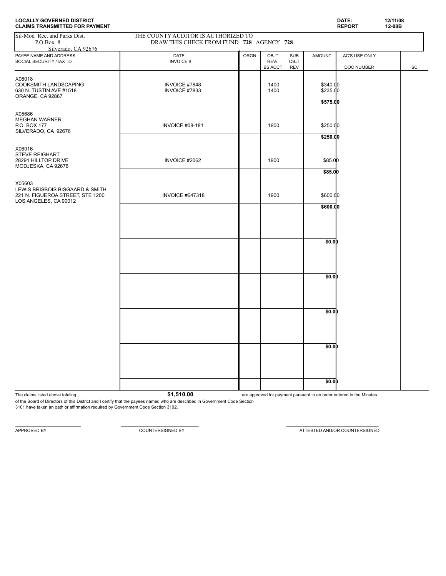| <b>CLAIMS TRANSMITTED FOR PAYMENT</b>                                                                  |                                                                                 |             |                                |                                         |                                  | <b>REPORT</b>               | 12-08B |    |
|--------------------------------------------------------------------------------------------------------|---------------------------------------------------------------------------------|-------------|--------------------------------|-----------------------------------------|----------------------------------|-----------------------------|--------|----|
| Sil-Mod Rec. and Parks Dist.<br>P.O.Box 8<br>Silverado. CA 92676                                       | THE COUNTY AUDITOR IS AUTHORIZED TO<br>DRAW THIS CHECK FROM FUND 728 AGENCY 728 |             |                                |                                         |                                  |                             |        |    |
| PAYEE NAME AND ADDRESS<br>SOCIAL SECURITY /TAX ID                                                      | DATE<br><b>INVOICE#</b>                                                         | <b>ORGN</b> | OBJT<br>REV/<br><b>BS ACCT</b> | <b>SUB</b><br><b>OBJT</b><br><b>REV</b> | <b>AMOUNT</b>                    | AC'S USE ONLY<br>DOC NUMBER |        | SC |
| X06018<br>COOKSMITH LANDSCAPING<br>630 N. TUSTIN AVE #1518<br>ORANGE, CA 92867                         | INVOICE #7848<br>INVOICE #7833                                                  |             | 1400<br>1400                   |                                         | \$340.00<br>\$235.00<br>\$575.00 |                             |        |    |
| X05686<br><b>MEGHAN WARNER</b><br>P.O. BOX 177<br>SILVERADO, CA 92676                                  | <b>INVOICE #08-181</b>                                                          |             | 1900                           |                                         | \$250.00                         |                             |        |    |
| X06016<br>STEVE REIGHART<br>28291 HILLTOP DRIVE<br>MODJESKA, CA 92676                                  | INVOICE #2062                                                                   |             | 1900                           |                                         | \$250.00<br>\$85.00              |                             |        |    |
| X05603<br>LEWIS BRISBOIS BISGAARD & SMITH<br>221 N. FIGUEROA STREET, STE 1200<br>LOS ANGELES, CA 90012 | <b>INVOICE #647318</b>                                                          |             | 1900                           |                                         | \$85.00<br>\$600.00              |                             |        |    |
|                                                                                                        |                                                                                 |             |                                |                                         | \$600.00                         |                             |        |    |
|                                                                                                        |                                                                                 |             |                                |                                         | \$0.0D                           |                             |        |    |
|                                                                                                        |                                                                                 |             |                                |                                         | \$0.0D                           |                             |        |    |
|                                                                                                        |                                                                                 |             |                                |                                         | \$0.0D                           |                             |        |    |
|                                                                                                        |                                                                                 |             |                                |                                         | \$0.0D                           |                             |        |    |
|                                                                                                        |                                                                                 |             |                                |                                         | \$0.0D                           |                             |        |    |

**LOCALLY GOVERNED DISTRICT DATE: 12/11/08**

The claims listed above totaling **61,510.00 are approved for payment pursuant to an order entered in the Minutes** 

of the Board of Directors of this District and I certify that the payees named who are described in Government Code Section 3101 have taken an oath or affirmation required by Government Code Section 3102.

 $\mathcal{L}_\text{max} = \mathcal{L}_\text{max} = \mathcal{L}_\text{max} = \mathcal{L}_\text{max} = \mathcal{L}_\text{max} = \mathcal{L}_\text{max} = \mathcal{L}_\text{max} = \mathcal{L}_\text{max} = \mathcal{L}_\text{max} = \mathcal{L}_\text{max} = \mathcal{L}_\text{max} = \mathcal{L}_\text{max} = \mathcal{L}_\text{max} = \mathcal{L}_\text{max} = \mathcal{L}_\text{max} = \mathcal{L}_\text{max} = \mathcal{L}_\text{max} = \mathcal{L}_\text{max} = \mathcal{$ 

APPROVED BY **COUNTERSIGNED BY COUNTERSIGNED BY COUNTERSIGNED BY ATTESTED AND/OR COUNTERSIGNED**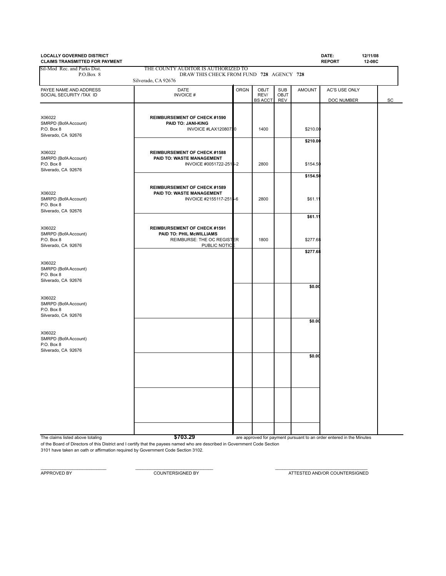| <b>LOCALLY GOVERNED DISTRICT</b><br><b>CLAIMS TRANSMITTED FOR PAYMENT</b> |                                                                                                               |             |                                |                                  |                      | DATE:<br><b>REPORT</b>      | 12/11/08<br>12-08C |
|---------------------------------------------------------------------------|---------------------------------------------------------------------------------------------------------------|-------------|--------------------------------|----------------------------------|----------------------|-----------------------------|--------------------|
| Sil-Mod Rec. and Parks Dist.<br>P.O.Box 8                                 | THE COUNTY AUDITOR IS AUTHORIZED TO<br>DRAW THIS CHECK FROM FUND 728 AGENCY 728<br>Silverado, CA 92676        |             |                                |                                  |                      |                             |                    |
| PAYEE NAME AND ADDRESS<br>SOCIAL SECURITY /TAX ID                         | <b>DATE</b><br><b>INVOICE#</b>                                                                                | <b>ORGN</b> | OBJT<br>REV/<br><b>BS ACCT</b> | <b>SUB</b><br>OBJT<br><b>REV</b> | <b>AMOUNT</b>        | AC'S USE ONLY<br>DOC NUMBER |                    |
| X06022<br>SMRPD (BofA Account)<br>P.O. Box 8<br>Silverado, CA 92676       | <b>REIMBURSEMENT OF CHECK #1590</b><br>PAID TO: JANI-KING<br>INVOICE #LAX12080710                             |             | 1400                           |                                  | \$210.00<br>\$210.00 |                             |                    |
| X06022<br>SMRPD (BofA Account)<br>P.O. Box 8<br>Silverado, CA 92676       | <b>REIMBURSEMENT OF CHECK #1588</b><br>PAID TO: WASTE MANAGEMENT<br>INVOICE #0051722-2515-2                   |             | 2800                           |                                  | \$154.50<br>\$154.50 |                             |                    |
| X06022<br>SMRPD (BofA Account)<br>P.O. Box 8<br>Silverado, CA 92676       | <b>REIMBURSEMENT OF CHECK #1589</b><br>PAID TO: WASTE MANAGEMENT<br>INVOICE #2155117-2515-6                   |             | 2800                           |                                  | \$61.1'              |                             |                    |
| X06022<br>SMRPD (BofA Account)<br>P.O. Box 8<br>Silverado, CA 92676       | <b>REIMBURSEMENT OF CHECK #1591</b><br>PAID TO: PHIL McWILLIAMS<br>REIMBURSE: THE OC REGISTER<br>PUBLIC NOTIC |             | 1800                           |                                  | \$61.11<br>\$277.68  |                             |                    |
| X06022<br>SMRPD (BofA Account)<br>P.O. Box 8<br>Silverado, CA 92676       |                                                                                                               |             |                                |                                  | \$277.68             |                             |                    |
| X06022<br>SMRPD (BofA Account)<br>P.O. Box 8<br>Silverado, CA 92676       |                                                                                                               |             |                                |                                  | \$0.00               |                             |                    |
| X06022<br>SMRPD (BofA Account)<br>P.O. Box 8                              |                                                                                                               |             |                                |                                  | \$0.00               |                             |                    |
| Silverado, CA 92676                                                       |                                                                                                               |             |                                |                                  | \$0.00               |                             |                    |
|                                                                           |                                                                                                               |             |                                |                                  |                      |                             |                    |
|                                                                           |                                                                                                               |             |                                |                                  |                      |                             |                    |

The claims listed above totaling **by a structure of the COST 103.29 are approved for payment pursuant to an order entered in the Minutes** 

of the Board of Directors of this District and I certify that the payees named who are described in Government Code Section 3101 have taken an oath or affirmation required by Government Code Section 3102.

 $\_$  , and the set of the set of the set of the set of the set of the set of the set of the set of the set of the set of the set of the set of the set of the set of the set of the set of the set of the set of the set of th

APPROVED BY COUNTERSIGNED BY COUNTERSIGNED BY ATTESTED AND/OR COUNTERSIGNED